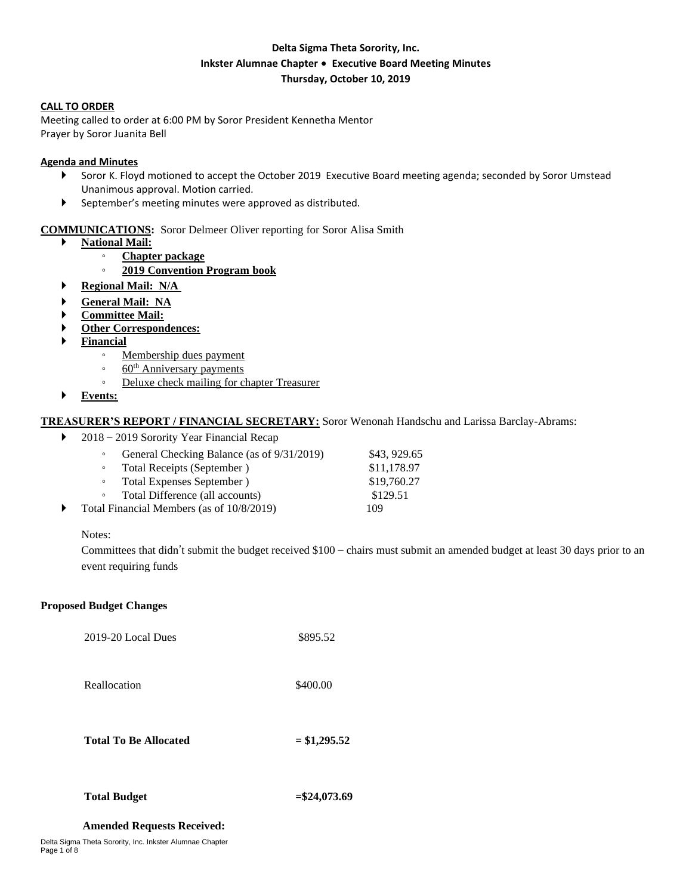# **Delta Sigma Theta Sorority, Inc. Inkster Alumnae Chapter** ∙ **Executive Board Meeting Minutes Thursday, October 10, 2019**

### **CALL TO ORDER**

Meeting called to order at 6:00 PM by Soror President Kennetha Mentor Prayer by Soror Juanita Bell

### **Agenda and Minutes**

- Soror K. Floyd motioned to accept the October 2019 Executive Board meeting agenda; seconded by Soror Umstead Unanimous approval. Motion carried.
- September's meeting minutes were approved as distributed.

## **COMMUNICATIONS:** Soror Delmeer Oliver reporting for Soror Alisa Smith

- **National Mail:** 
	- **Chapter package**
		- **2019 Convention Program book**
- **Regional Mail: N/A**
- **General Mail: NA**
- **Committee Mail:**
- **Other Correspondences:**
- **Financial**
	- Membership dues payment
	- 60<sup>th</sup> Anniversary payments
	- Deluxe check mailing for chapter Treasurer
- **Events:**

### **TREASURER'S REPORT / FINANCIAL SECRETARY:** Soror Wenonah Handschu and Larissa Barclay-Abrams:

▶ 2018 – 2019 Sorority Year Financial Recap

| $\circ$                                   | General Checking Balance (as of 9/31/2019) | \$43, 929.65 |
|-------------------------------------------|--------------------------------------------|--------------|
| $\circ$                                   | Total Receipts (September)                 | \$11,178.97  |
| $\circ$                                   | Total Expenses September)                  | \$19,760.27  |
| $\circ$                                   | Total Difference (all accounts)            | \$129.51     |
| Total Financial Members (as of 10/8/2019) |                                            | 109          |

#### Notes:

Committees that didn't submit the budget received \$100 – chairs must submit an amended budget at least 30 days prior to an event requiring funds

#### **Proposed Budget Changes**

2019-20 Local Dues \$895.52

Reallocation \$400.00

**Total To Be Allocated = \$1,295.52**

#### **Total Budget =\$24,073.69**

#### **Amended Requests Received:**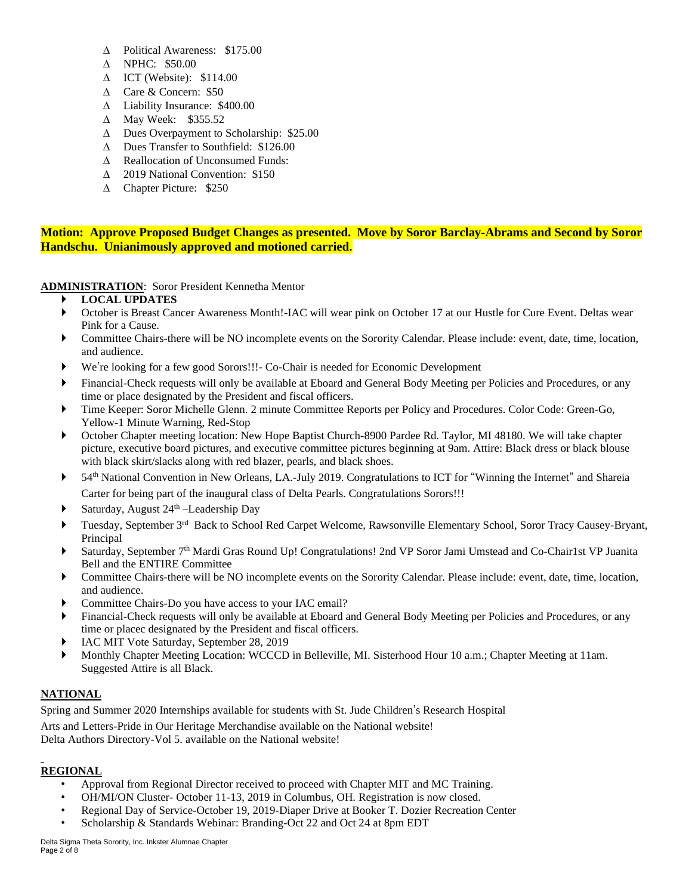- Political Awareness: \$175.00
- NPHC: \$50.00
- $\triangle$  ICT (Website): \$114.00
- Care & Concern: \$50
- Liability Insurance: \$400.00
- $\triangle$  May Week: \$355.52
- Dues Overpayment to Scholarship: \$25.00
- Dues Transfer to Southfield: \$126.00
- $\triangle$  Reallocation of Unconsumed Funds:
- 2019 National Convention: \$150
- Chapter Picture: \$250

**Motion: Approve Proposed Budget Changes as presented. Move by Soror Barclay-Abrams and Second by Soror Handschu. Unianimously approved and motioned carried.** 

**ADMINISTRATION**: Soror President Kennetha Mentor

## **LOCAL UPDATES**

- October is Breast Cancer Awareness Month!-IAC will wear pink on October 17 at our Hustle for Cure Event. Deltas wear Pink for a Cause.
- Committee Chairs-there will be NO incomplete events on the Sorority Calendar. Please include: event, date, time, location, and audience.
- We're looking for a few good Sorors!!!- Co-Chair is needed for Economic Development
- Financial-Check requests will only be available at Eboard and General Body Meeting per Policies and Procedures, or any time or place designated by the President and fiscal officers.
- Time Keeper: Soror Michelle Glenn. 2 minute Committee Reports per Policy and Procedures. Color Code: Green-Go, Yellow-1 Minute Warning, Red-Stop
- October Chapter meeting location: New Hope Baptist Church-8900 Pardee Rd. Taylor, MI 48180. We will take chapter picture, executive board pictures, and executive committee pictures beginning at 9am. Attire: Black dress or black blouse with black skirt/slacks along with red blazer, pearls, and black shoes.
- 54th National Convention in New Orleans, LA.-July 2019. Congratulations to ICT for "Winning the Internet" and Shareia Carter for being part of the inaugural class of Delta Pearls. Congratulations Sorors!!!
- Saturday, August 24th –Leadership Day
- Tuesday, September 3<sup>rd</sup> Back to School Red Carpet Welcome, Rawsonville Elementary School, Soror Tracy Causey-Bryant, Principal
- Saturday, September 7<sup>th</sup> Mardi Gras Round Up! Congratulations! 2nd VP Soror Jami Umstead and Co-Chair1st VP Juanita Bell and the ENTIRE Committee
- Committee Chairs-there will be NO incomplete events on the Sorority Calendar. Please include: event, date, time, location, and audience.
- Committee Chairs-Do you have access to your IAC email?
- Financial-Check requests will only be available at Eboard and General Body Meeting per Policies and Procedures, or any time or placec designated by the President and fiscal officers.
- IAC MIT Vote Saturday, September 28, 2019
- Monthly Chapter Meeting Location: WCCCD in Belleville, MI. Sisterhood Hour 10 a.m.; Chapter Meeting at 11am. Suggested Attire is all Black.

# **NATIONAL**

Spring and Summer 2020 Internships available for students with St. Jude Children's Research Hospital Arts and Letters-Pride in Our Heritage Merchandise available on the National website! Delta Authors Directory-Vol 5. available on the National website!

# **REGIONAL**

- Approval from Regional Director received to proceed with Chapter MIT and MC Training.
- OH/MI/ON Cluster- October 11-13, 2019 in Columbus, OH. Registration is now closed.
- Regional Day of Service-October 19, 2019-Diaper Drive at Booker T. Dozier Recreation Center
- Scholarship & Standards Webinar: Branding-Oct 22 and Oct 24 at 8pm EDT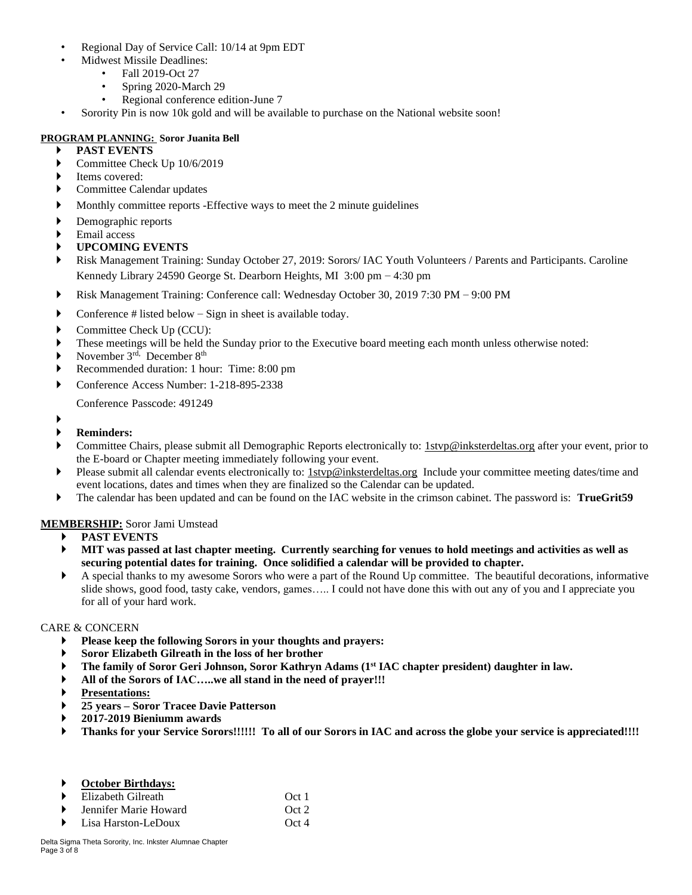- Regional Day of Service Call: 10/14 at 9pm EDT
- Midwest Missile Deadlines:
	- Fall 2019-Oct 27
	- Spring 2020-March 29
	- Regional conference edition-June 7
- Sorority Pin is now 10k gold and will be available to purchase on the National website soon!

## **PROGRAM PLANNING: Soror Juanita Bell**

- **PAST EVENTS**
- Committee Check Up 10/6/2019
- Items covered:
- ▶ Committee Calendar updates
- Monthly committee reports -Effective ways to meet the 2 minute guidelines
- Demographic reports
- Email access
- **UPCOMING EVENTS**
- Risk Management Training: Sunday October 27, 2019: Sorors/ IAC Youth Volunteers / Parents and Participants. Caroline Kennedy Library 24590 George St. Dearborn Heights, MI 3:00 pm – 4:30 pm
- Risk Management Training: Conference call: Wednesday October 30, 2019 7:30 PM 9:00 PM
- Conference  $#$  listed below  $-$  Sign in sheet is available today.
- Committee Check Up (CCU):
- These meetings will be held the Sunday prior to the Executive board meeting each month unless otherwise noted:
- November 3rd, December 8th
- Recommended duration: 1 hour: Time: 8:00 pm
- Conference Access Number: 1-218-895-2338

Conference Passcode: 491249

- ▶
- **Reminders:**
- Committee Chairs, please submit all Demographic Reports electronically to: 1styp@inksterdeltas.org after your event, prior to the E-board or Chapter meeting immediately following your event.
- Please submit all calendar events electronically to: 1styp@inksterdeltas.org Include your committee meeting dates/time and event locations, dates and times when they are finalized so the Calendar can be updated.
- The calendar has been updated and can be found on the IAC website in the crimson cabinet. The password is: **TrueGrit59**

## **MEMBERSHIP:** Soror Jami Umstead

- **PAST EVENTS**
- MIT was passed at last chapter meeting. Currently searching for venues to hold meetings and activities as well as **securing potential dates for training. Once solidified a calendar will be provided to chapter.**
- A special thanks to my awesome Sorors who were a part of the Round Up committee. The beautiful decorations, informative slide shows, good food, tasty cake, vendors, games….. I could not have done this with out any of you and I appreciate you for all of your hard work.

## CARE & CONCERN

- **Please keep the following Sorors in your thoughts and prayers:**
- **Soror Elizabeth Gilreath in the loss of her brother**
- **The family of Soror Geri Johnson, Soror Kathryn Adams (1st IAC chapter president) daughter in law.**
- **All of the Sorors of IAC…..we all stand in the need of prayer!!!**
- **Presentations:**
- **25 years – Soror Tracee Davie Patterson**
- **2017-2019 Bieniumm awards**
- Thanks for your Service Sorors!!!!!! To all of our Sorors in IAC and across the globe your service is appreciated!!!!

| <b>October Birthdays:</b> |       |
|---------------------------|-------|
| Elizabeth Gilreath        | Oct 1 |
| Jennifer Marie Howard     | Oct 2 |
| Lisa Harston-LeDoux       | Oct 4 |
|                           |       |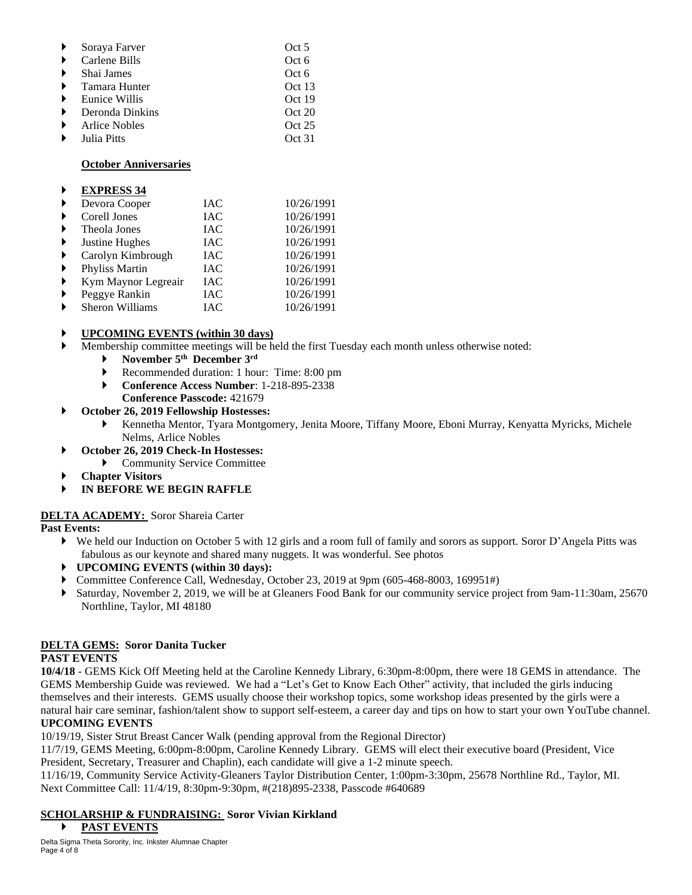| Soraya Farver        | Oct 5  |
|----------------------|--------|
| Carlene Bills        | Oct 6  |
| Shai James           | Oct 6  |
| Tamara Hunter        | Oct 13 |
| <b>Eunice Willis</b> | Oct 19 |
| Deronda Dinkins      | Oct 20 |
| <b>Arlice Nobles</b> | Oct 25 |
| Julia Pitts          | Oct 31 |

### **October Anniversaries**

#### **EXPRESS 34**

| ▶ | Devora Cooper       | IAC        | 10/26/1991 |
|---|---------------------|------------|------------|
| ▶ | Corell Jones        | <b>IAC</b> | 10/26/1991 |
| ▶ | Theola Jones        | <b>IAC</b> | 10/26/1991 |
| ▶ | Justine Hughes      | <b>IAC</b> | 10/26/1991 |
| ▶ | Carolyn Kimbrough   | <b>IAC</b> | 10/26/1991 |
| ▶ | Phyliss Martin      | IAC        | 10/26/1991 |
| ▶ | Kym Maynor Legreair | <b>IAC</b> | 10/26/1991 |
| ▶ | Peggye Rankin       | <b>IAC</b> | 10/26/1991 |
| Þ | Sheron Williams     | <b>IAC</b> | 10/26/1991 |

## **UPCOMING EVENTS (within 30 days)**

- Membership committee meetings will be held the first Tuesday each month unless otherwise noted:
	- **November 5 th December 3 rd**
	- Recommended duration: 1 hour: Time: 8:00 pm
	- **Conference Access Number**: 1-218-895-2338
		- **Conference Passcode:** 421679

### **October 26, 2019 Fellowship Hostesses:**

- Kennetha Mentor, Tyara Montgomery, Jenita Moore, Tiffany Moore, Eboni Murray, Kenyatta Myricks, Michele Nelms, Arlice Nobles
- **October 26, 2019 Check-In Hostesses:**
- Community Service Committee
- **Chapter Visitors**
- **IN BEFORE WE BEGIN RAFFLE**

## **DELTA ACADEMY:** Soror Shareia Carter

## **Past Events:**

- We held our Induction on October 5 with 12 girls and a room full of family and sorors as support. Soror D'Angela Pitts was fabulous as our keynote and shared many nuggets. It was wonderful. See photos
- **UPCOMING EVENTS (within 30 days):**
- Committee Conference Call, Wednesday, October 23, 2019 at 9pm (605-468-8003, 169951#)
- Saturday, November 2, 2019, we will be at Gleaners Food Bank for our community service project from 9am-11:30am, 25670 Northline, Taylor, MI 48180

## **DELTA GEMS: Soror Danita Tucker**

## **PAST EVENTS**

**10/4/18** - GEMS Kick Off Meeting held at the Caroline Kennedy Library, 6:30pm-8:00pm, there were 18 GEMS in attendance. The GEMS Membership Guide was reviewed. We had a "Let's Get to Know Each Other" activity, that included the girls inducing themselves and their interests. GEMS usually choose their workshop topics, some workshop ideas presented by the girls were a natural hair care seminar, fashion/talent show to support self-esteem, a career day and tips on how to start your own YouTube channel.

## **UPCOMING EVENTS**

10/19/19, Sister Strut Breast Cancer Walk (pending approval from the Regional Director)

11/7/19, GEMS Meeting, 6:00pm-8:00pm, Caroline Kennedy Library. GEMS will elect their executive board (President, Vice President, Secretary, Treasurer and Chaplin), each candidate will give a 1-2 minute speech.

11/16/19, Community Service Activity-Gleaners Taylor Distribution Center, 1:00pm-3:30pm, 25678 Northline Rd., Taylor, MI. Next Committee Call: 11/4/19, 8:30pm-9:30pm, #(218)895-2338, Passcode #640689

# **SCHOLARSHIP & FUNDRAISING: Soror Vivian Kirkland**

#### **PAST EVENTS**

Delta Sigma Theta Sorority, Inc. Inkster Alumnae Chapter Page 4 of 8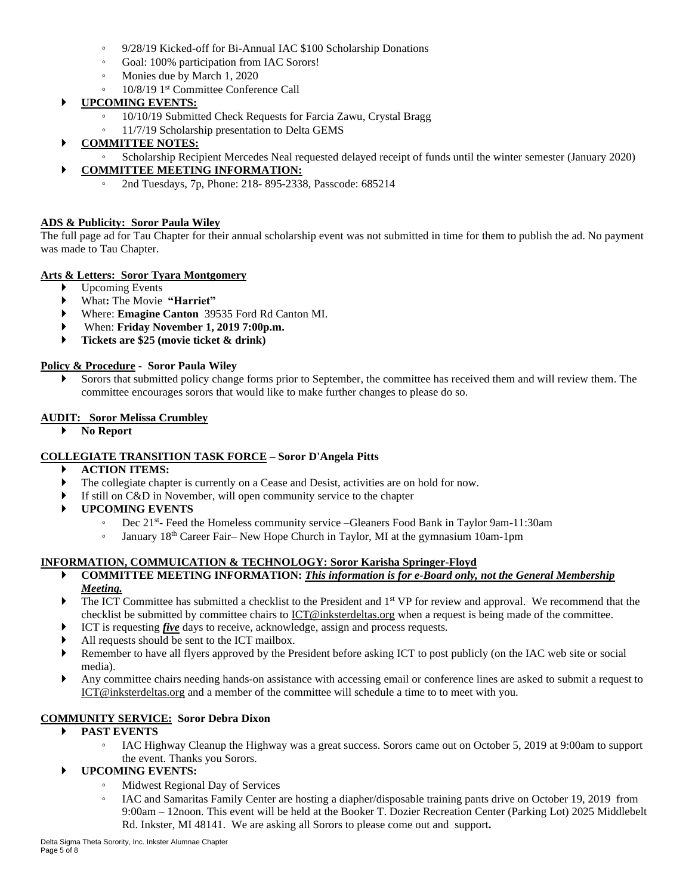- 9/28/19 Kicked-off for Bi-Annual IAC \$100 Scholarship Donations
- Goal: 100% participation from IAC Sorors!
- Monies due by March 1, 2020
- 10/8/19 1 st Committee Conference Call

# **UPCOMING EVENTS:**

- 10/10/19 Submitted Check Requests for Farcia Zawu, Crystal Bragg
- 11/7/19 Scholarship presentation to Delta GEMS
- **COMMITTEE NOTES:**
	- Scholarship Recipient Mercedes Neal requested delayed receipt of funds until the winter semester (January 2020)

# **COMMITTEE MEETING INFORMATION:**

◦ 2nd Tuesdays, 7p, Phone: 218- 895-2338, Passcode: 685214

## **ADS & Publicity: Soror Paula Wiley**

The full page ad for Tau Chapter for their annual scholarship event was not submitted in time for them to publish the ad. No payment was made to Tau Chapter.

# **Arts & Letters: Soror Tyara Montgomery**

- Upcoming Events
- What**:** The Movie **"Harriet"**
- Where: **Emagine Canton** 39535 Ford Rd Canton MI.
- When: **Friday November 1, 2019 7:00p.m.**
- **Tickets are \$25 (movie ticket & drink)**

## **Policy & Procedure - Soror Paula Wiley**

 Sorors that submitted policy change forms prior to September, the committee has received them and will review them. The committee encourages sorors that would like to make further changes to please do so.

## **AUDIT: Soror Melissa Crumbley**

**No Report**

# **COLLEGIATE TRANSITION TASK FORCE – Soror D'Angela Pitts**

- **ACTION ITEMS:**
- The collegiate chapter is currently on a Cease and Desist, activities are on hold for now.
- If still on C&D in November, will open community service to the chapter
- **UPCOMING EVENTS**
	- Dec 21st Feed the Homeless community service –Gleaners Food Bank in Taylor 9am-11:30am
	- January 18th Career Fair– New Hope Church in Taylor, MI at the gymnasium 10am-1pm

# **INFORMATION, COMMUICATION & TECHNOLOGY: Soror Karisha Springer-Floyd**

- **COMMITTEE MEETING INFORMATION:** *This information is for e-Board only, not the General Membership Meeting.*
- The ICT Committee has submitted a checklist to the President and 1<sup>st</sup> VP for review and approval. We recommend that the checklist be submitted by committee chairs to ICT@inksterdeltas.org when a request is being made of the committee.
- **ICT** is requesting *five* days to receive, acknowledge, assign and process requests.
- All requests should be sent to the ICT mailbox.
- Remember to have all flyers approved by the President before asking ICT to post publicly (on the IAC web site or social media).
- Any committee chairs needing hands-on assistance with accessing email or conference lines are asked to submit a request to ICT@inksterdeltas.org and a member of the committee will schedule a time to to meet with you.

# **COMMUNITY SERVICE: Soror Debra Dixon**

# **PAST EVENTS**

◦ IAC Highway Cleanup the Highway was a great success. Sorors came out on October 5, 2019 at 9:00am to support the event. Thanks you Sorors.

# **UPCOMING EVENTS:**

- Midwest Regional Day of Services
- IAC and Samaritas Family Center are hosting a diapher/disposable training pants drive on October 19, 2019 from 9:00am – 12noon. This event will be held at the Booker T. Dozier Recreation Center (Parking Lot) 2025 Middlebelt Rd. Inkster, MI 48141. We are asking all Sorors to please come out and support**.**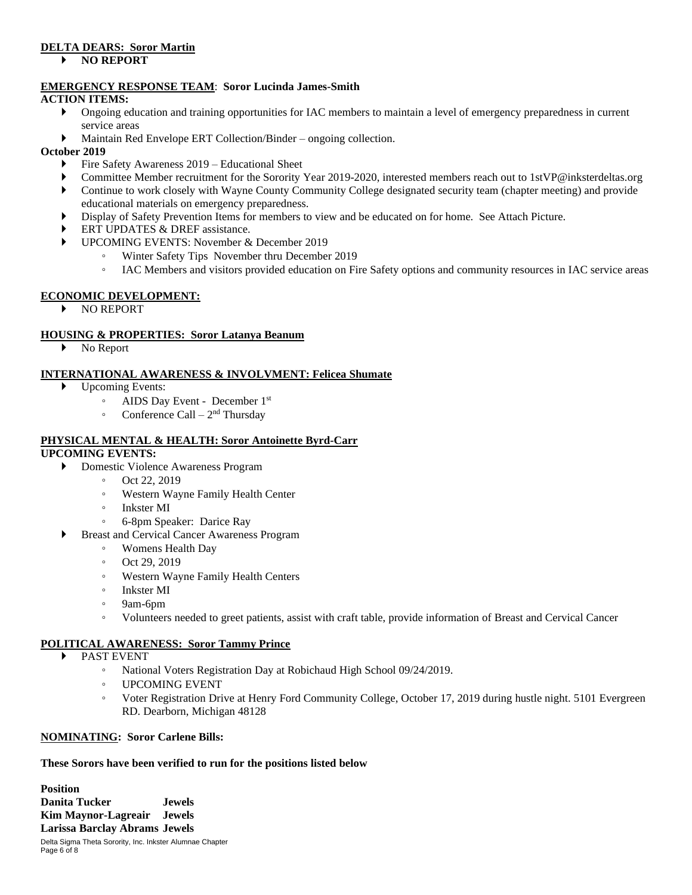## **DELTA DEARS: Soror Martin**

### **NO REPORT**

## **EMERGENCY RESPONSE TEAM**: **Soror Lucinda James-Smith**

## **ACTION ITEMS:**

- Ongoing education and training opportunities for IAC members to maintain a level of emergency preparedness in current service areas
- Maintain Red Envelope ERT Collection/Binder ongoing collection.

## **October 2019**

- Fire Safety Awareness 2019 Educational Sheet
- Committee Member recruitment for the Sorority Year 2019-2020, interested members reach out to 1stVP@inksterdeltas.org
- Continue to work closely with Wayne County Community College designated security team (chapter meeting) and provide educational materials on emergency preparedness.
- Display of Safety Prevention Items for members to view and be educated on for home. See Attach Picture.
- ERT UPDATES & DREF assistance.
- UPCOMING EVENTS: November & December 2019
	- Winter Safety Tips November thru December 2019
		- IAC Members and visitors provided education on Fire Safety options and community resources in IAC service areas

## **ECONOMIC DEVELOPMENT:**

NO REPORT

# **HOUSING & PROPERTIES: Soror Latanya Beanum**

No Report

## **INTERNATIONAL AWARENESS & INVOLVMENT: Felicea Shumate**

- ▶ Upcoming Events:
	- AIDS Day Event December 1 st
	- Conference Call  $2<sup>nd</sup>$  Thursday

# **PHYSICAL MENTAL & HEALTH: Soror Antoinette Byrd-Carr**

# **UPCOMING EVENTS:**

- Domestic Violence Awareness Program
	- Oct 22, 2019
	- Western Wayne Family Health Center
	- Inkster MI
	- 6-8pm Speaker: Darice Ray
	- Breast and Cervical Cancer Awareness Program
		- Womens Health Day
		- Oct 29, 2019
		- Western Wayne Family Health Centers
		- Inkster MI
		- 9am-6pm
		- Volunteers needed to greet patients, assist with craft table, provide information of Breast and Cervical Cancer

# **POLITICAL AWARENESS: Soror Tammy Prince**

- PAST EVENT
	- National Voters Registration Day at Robichaud High School 09/24/2019.
	- UPCOMING EVENT
	- Voter Registration Drive at Henry Ford Community College, October 17, 2019 during hustle night. 5101 Evergreen RD. Dearborn, Michigan 48128

## **NOMINATING: Soror Carlene Bills:**

## **These Sorors have been verified to run for the positions listed below**

Delta Sigma Theta Sorority, Inc. Inkster Alumnae Chapter **Position Danita Tucker Jewels Kim Maynor-Lagreair Jewels Larissa Barclay Abrams Jewels**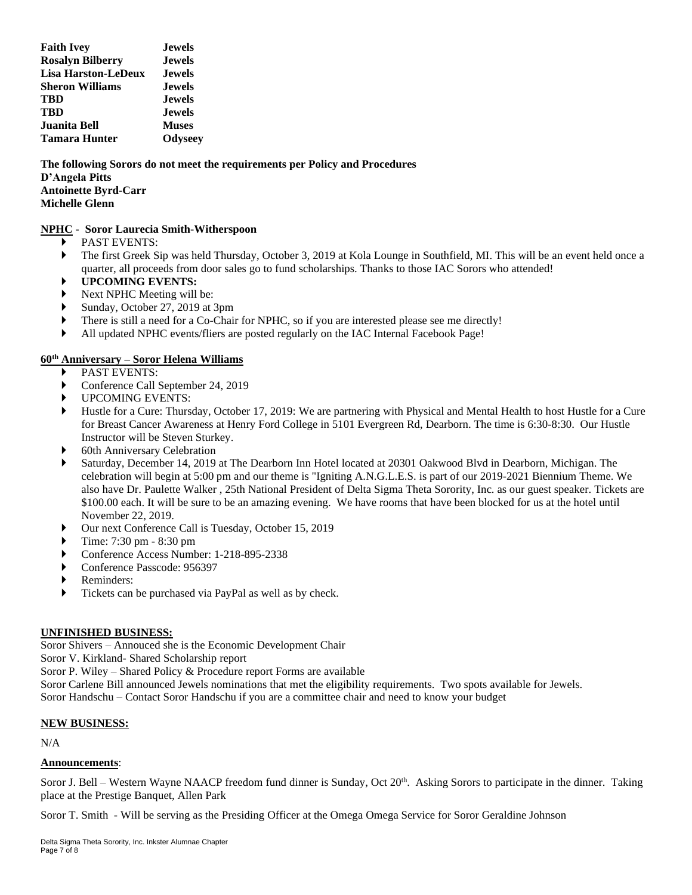| <b>Faith Ivey</b>          | <b>Jewels</b> |  |
|----------------------------|---------------|--|
| <b>Rosalyn Bilberry</b>    | <b>Jewels</b> |  |
| <b>Lisa Harston-LeDeux</b> | <b>Jewels</b> |  |
| <b>Sheron Williams</b>     | <b>Jewels</b> |  |
| TBD                        | <b>Jewels</b> |  |
| TBD                        | <b>Jewels</b> |  |
| Juanita Bell               | <b>Muses</b>  |  |
| <b>Tamara Hunter</b>       | Odyseey       |  |

**The following Sorors do not meet the requirements per Policy and Procedures D'Angela Pitts Antoinette Byrd-Carr Michelle Glenn**

### **NPHC - Soror Laurecia Smith-Witherspoon**

- **PAST EVENTS:**
- The first Greek Sip was held Thursday, October 3, 2019 at Kola Lounge in Southfield, MI. This will be an event held once a quarter, all proceeds from door sales go to fund scholarships. Thanks to those IAC Sorors who attended!
- **UPCOMING EVENTS:**
- Next NPHC Meeting will be:
- Sunday, October 27, 2019 at 3pm
- There is still a need for a Co-Chair for NPHC, so if you are interested please see me directly!
- All updated NPHC events/fliers are posted regularly on the IAC Internal Facebook Page!

## **60th Anniversary – Soror Helena Williams**

- PAST EVENTS:
- Conference Call September 24, 2019
- UPCOMING EVENTS:
- Hustle for a Cure: Thursday, October 17, 2019: We are partnering with Physical and Mental Health to host Hustle for a Cure for Breast Cancer Awareness at Henry Ford College in 5101 Evergreen Rd, Dearborn. The time is 6:30-8:30. Our Hustle Instructor will be Steven Sturkey.
- 60th Anniversary Celebration
- Saturday, December 14, 2019 at The Dearborn Inn Hotel located at 20301 Oakwood Blvd in Dearborn, Michigan. The celebration will begin at 5:00 pm and our theme is "Igniting A.N.G.L.E.S. is part of our 2019-2021 Biennium Theme. We also have Dr. Paulette Walker , 25th National President of Delta Sigma Theta Sorority, Inc. as our guest speaker. Tickets are \$100.00 each. It will be sure to be an amazing evening. We have rooms that have been blocked for us at the hotel until November 22, 2019.
- Our next Conference Call is Tuesday, October 15, 2019
- Time: 7:30 pm 8:30 pm
- Conference Access Number: 1-218-895-2338
- ▶ Conference Passcode: 956397
- Reminders:
- Tickets can be purchased via PayPal as well as by check.

#### **UNFINISHED BUSINESS:**

Soror Shivers – Annouced she is the Economic Development Chair

Soror V. Kirkland- Shared Scholarship report

Soror P. Wiley – Shared Policy & Procedure report Forms are available

Soror Carlene Bill announced Jewels nominations that met the eligibility requirements. Two spots available for Jewels. Soror Handschu – Contact Soror Handschu if you are a committee chair and need to know your budget

#### **NEW BUSINESS:**

N/A

#### **Announcements**:

Soror J. Bell – Western Wayne NAACP freedom fund dinner is Sunday, Oct 20<sup>th</sup>. Asking Sorors to participate in the dinner. Taking place at the Prestige Banquet, Allen Park

Soror T. Smith - Will be serving as the Presiding Officer at the Omega Omega Service for Soror Geraldine Johnson